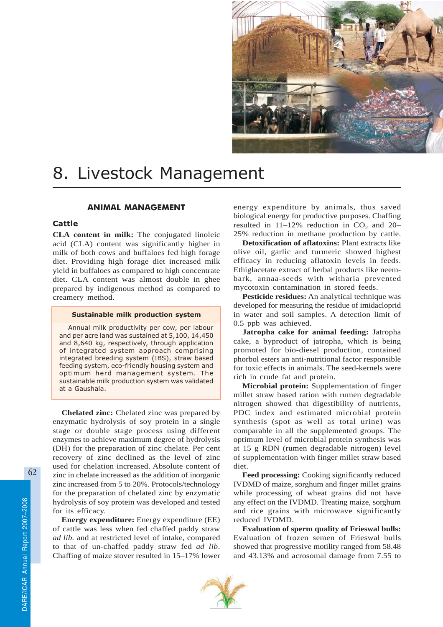

# 8. Livestock Management

# ANIMAL MANAGEMENT

# Cattle

**CLA content in milk:** The conjugated linoleic acid (CLA) content was significantly higher in milk of both cows and buffaloes fed high forage diet. Providing high forage diet increased milk yield in buffaloes as compared to high concentrate diet. CLA content was almost double in ghee prepared by indigenous method as compared to creamery method.

# Sustainable milk production system

Annual milk productivity per cow, per labour and per acre land was sustained at 5,100, 14,450 and 8,640 kg, respectively, through application of integrated system approach comprising integrated breeding system (IBS), straw based feeding system, eco-friendly housing system and optimum herd management system. The sustainable milk production system was validated at a Gaushala.

**Chelated zinc:** Chelated zinc was prepared by enzymatic hydrolysis of soy protein in a single stage or double stage process using different enzymes to achieve maximum degree of hydrolysis (DH) for the preparation of zinc chelate. Per cent recovery of zinc declined as the level of zinc used for chelation increased. Absolute content of zinc in chelate increased as the addition of inorganic zinc increased from 5 to 20%. Protocols/technology for the preparation of chelated zinc by enzymatic hydrolysis of soy protein was developed and tested for its efficacy.

**Energy expenditure:** Energy expenditure (EE) of cattle was less when fed chaffed paddy straw *ad lib.* and at restricted level of intake, compared to that of un-chaffed paddy straw fed *ad lib*. Chaffing of maize stover resulted in 15–17% lower energy expenditure by animals, thus saved biological energy for productive purposes. Chaffing resulted in  $11-12\%$  reduction in CO<sub>2</sub> and 20– 25% reduction in methane production by cattle.

**Detoxification of aflatoxins:** Plant extracts like olive oil, garlic and turmeric showed highest efficacy in reducing aflatoxin levels in feeds. Ethiglacetate extract of herbal products like neembark, annaa-seeds with witharia prevented mycotoxin contamination in stored feeds.

**Pesticide residues:** An analytical technique was developed for measuring the residue of imidacloprid in water and soil samples. A detection limit of 0.5 ppb was achieved.

**Jatropha cake for animal feeding:** Jatropha cake, a byproduct of jatropha, which is being promoted for bio-diesel production, contained phorbol esters an anti-nutritional factor responsible for toxic effects in animals. The seed-kernels were rich in crude fat and protein.

**Microbial protein:** Supplementation of finger millet straw based ration with rumen degradable nitrogen showed that digestibility of nutrients, PDC index and estimated microbial protein synthesis (spot as well as total urine) was comparable in all the supplemented groups. The optimum level of microbial protein synthesis was at 15 g RDN (rumen degradable nitrogen) level of supplementation with finger millet straw based diet.

**Feed processing:** Cooking significantly reduced IVDMD of maize, sorghum and finger millet grains while processing of wheat grains did not have any effect on the IVDMD. Treating maize, sorghum and rice grains with microwave significantly reduced IVDMD.

**Evaluation of sperm quality of Frieswal bulls:** Evaluation of frozen semen of Frieswal bulls showed that progressive motility ranged from 58.48 and 43.13% and acrosomal damage from 7.55 to

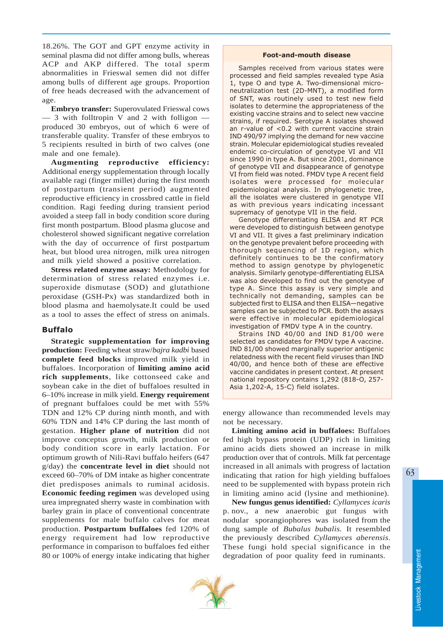18.26%. The GOT and GPT enzyme activity in seminal plasma did not differ among bulls, whereas ACP and AKP differed. The total sperm abnormalities in Frieswal semen did not differ among bulls of different age groups. Proportion of free heads decreased with the advancement of age.

**Embryo transfer:** Superovulated Frieswal cows — 3 with folltropin V and 2 with folligon produced 30 embryos, out of which 6 were of transferable quality. Transfer of these embryos to 5 recipients resulted in birth of two calves (one male and one female).

**Augmenting reproductive efficiency:** Additional energy supplementation through locally available ragi (finger millet) during the first month of postpartum (transient period) augmented reproductive efficiency in crossbred cattle in field condition. Ragi feeding during transient period avoided a steep fall in body condition score during first month postpartum. Blood plasma glucose and cholesterol showed significant negative correlation with the day of occurrence of first postpartum heat, but blood urea nitrogen, milk urea nitrogen and milk yield showed a positive correlation.

**Stress related enzyme assay:** Methodology for determination of stress related enzymes i.e. superoxide dismutase (SOD) and glutathione peroxidase (GSH-Px) was standardized both in blood plasma and haemolysate.It could be used as a tool to asses the effect of stress on animals.

# Buffalo

**Strategic supplementation for improving production:** Feeding wheat straw/*bajra kadbi* based **complete feed blocks** improved milk yield in buffaloes. Incorporation of **limiting amino acid rich supplements**, like cottonseed cake and soybean cake in the diet of buffaloes resulted in 6–10% increase in milk yield. **Energy requirement** of pregnant buffaloes could be met with 55% TDN and 12% CP during ninth month, and with 60% TDN and 14% CP during the last month of gestation. **Higher plane of nutrition** did not improve conceptus growth, milk production or body condition score in early lactation. For optimum growth of Nili-Ravi buffalo heifers (647 g/day) the **concentrate level in diet** should not exceed 60–70% of DM intake as higher concentrate diet predisposes animals to ruminal acidosis. **Economic feeding regimen** was developed using urea impregnated sherry waste in combination with barley grain in place of conventional concentrate supplements for male buffalo calves for meat production. **Postpartum buffaloes** fed 120% of energy requirement had low reproductive performance in comparison to buffaloes fed either 80 or 100% of energy intake indicating that higher

#### Foot-and-mouth disease

Samples received from various states were processed and field samples revealed type Asia 1, type O and type A. Two-dimensional microneutralization test (2D-MNT), a modified form of SNT, was routinely used to test new field isolates to determine the appropriateness of the existing vaccine strains and to select new vaccine strains, if required. Serotype A isolates showed an r-value of <0.2 with current vaccine strain IND 490/97 implying the demand for new vaccine strain. Molecular epidemiological studies revealed endemic co-circulation of genotype VI and VII since 1990 in type A. But since 2001, dominance of genotype VII and disappearance of genotype VI from field was noted. FMDV type A recent field isolates were processed for molecular epidemiological analysis. In phylogenetic tree, all the isolates were clustered in genotype VII as with previous years indicating incessant supremacy of genotype VII in the field.

Genotype differentiating ELISA and RT PCR were developed to distinguish between genotype VI and VII. It gives a fast preliminary indication on the genotype prevalent before proceeding with thorough sequencing of 1D region, which definitely continues to be the confirmatory method to assign genotype by phylogenetic analysis. Similarly genotype-differentiating ELISA was also developed to find out the genotype of type A. Since this assay is very simple and technically not demanding, samples can be subjected first to ELISA and then ELISA—negative samples can be subjected to PCR. Both the assays were effective in molecular epidemiological investigation of FMDV type A in the country.

Strains IND 40/00 and IND 81/00 were selected as candidates for FMDV type A vaccine. IND 81/00 showed marginally superior antigenic relatedness with the recent field viruses than IND 40/00, and hence both of these are effective vaccine candidates in present context. At present national repository contains 1,292 (818-O, 257- Asia 1,202-A, 15-C) field isolates.

energy allowance than recommended levels may not be necessary.

**Limiting amino acid in buffaloes:** Buffaloes fed high bypass protein (UDP) rich in limiting amino acids diets showed an increase in milk production over that of controls. Milk fat percentage increased in all animals with progress of lactation indicating that ration for high yielding buffaloes need to be supplemented with bypass protein rich in limiting amino acid (lysine and methionine).

**New fungus genus identified:** *Cyllamyces icaris* p. nov., a new anaerobic gut fungus with nodular sporangiophores was isolated from the dung sample of *Bubalus bubalis.* It resembled the previously described *Cyllamyces aberensis*. These fungi hold special significance in the degradation of poor quality feed in ruminants.

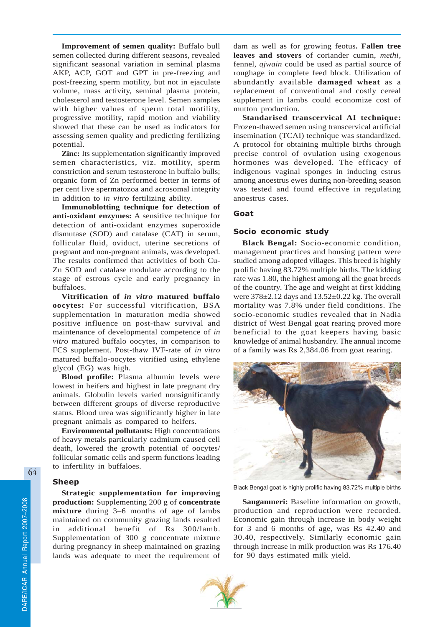**Improvement of semen quality:** Buffalo bull semen collected during different seasons, revealed significant seasonal variation in seminal plasma AKP, ACP, GOT and GPT in pre-freezing and post-freezing sperm motility, but not in ejaculate volume, mass activity, seminal plasma protein, cholesterol and testosterone level. Semen samples with higher values of sperm total motility, progressive motility, rapid motion and viability showed that these can be used as indicators for assessing semen quality and predicting fertilizing potential.

**Zinc:** Its supplementation significantly improved semen characteristics, viz. motility, sperm constriction and serum testosterone in buffalo bulls; organic form of Zn performed better in terms of per cent live spermatozoa and acrosomal integrity in addition to *in vitro* fertilizing ability.

**Immunoblotting technique for detection of anti-oxidant enzymes:** A sensitive technique for detection of anti-oxidant enzymes superoxide dismutase (SOD) and catalase (CAT) in serum, follicular fluid, oviduct, uterine secretions of pregnant and non-pregnant animals, was developed. The results confirmed that activities of both Cu-Zn SOD and catalase modulate according to the stage of estrous cycle and early pregnancy in buffaloes.

**Vitrification of** *in vitro* **matured buffalo oocytes:** For successful vitrification, BSA supplementation in maturation media showed positive influence on post-thaw survival and maintenance of developmental competence of *in vitro* matured buffalo oocytes, in comparison to FCS supplement. Post-thaw IVF-rate of *in vitro* matured buffalo-oocytes vitrified using ethylene glycol (EG) was high.

**Blood profile:** Plasma albumin levels were lowest in heifers and highest in late pregnant dry animals. Globulin levels varied nonsignificantly between different groups of diverse reproductive status. Blood urea was significantly higher in late pregnant animals as compared to heifers.

**Environmental pollutants:** High concentrations of heavy metals particularly cadmium caused cell death, lowered the growth potential of oocytes/ follicular somatic cells and sperm functions leading to infertility in buffaloes.

## Sheep

**Strategic supplementation for improving production:** Supplementing 200 g of **concentrate mixture** during 3–6 months of age of lambs maintained on community grazing lands resulted in additional benefit of Rs 300/lamb. Supplementation of 300 g concentrate mixture during pregnancy in sheep maintained on grazing lands was adequate to meet the requirement of

dam as well as for growing feotus**. Fallen tree leaves and stovers** of coriander cumin, *methi*, fennel, *ajwain* could be used as partial source of roughage in complete feed block. Utilization of abundantly available **damaged wheat** as a replacement of conventional and costly cereal supplement in lambs could economize cost of mutton production.

**Standarised transcervical AI technique:** Frozen-thawed semen using transcervical artificial insemination (TCAI) technique was standardized. A protocol for obtaining multiple births through precise control of ovulation using exogenous hormones was developed. The efficacy of indigenous vaginal sponges in inducing estrus among anoestrus ewes during non-breeding season was tested and found effective in regulating anoestrus cases.

# Goat

# Socio economic study

**Black Bengal:** Socio-economic condition, management practices and housing pattern were studied among adopted villages. This breed is highly prolific having 83.72% multiple births. The kidding rate was 1.80, the highest among all the goat breeds of the country. The age and weight at first kidding were 378±2.12 days and 13.52±0.22 kg. The overall mortality was 7.8% under field conditions. The socio-economic studies revealed that in Nadia district of West Bengal goat rearing proved more beneficial to the goat keepers having basic knowledge of animal husbandry. The annual income of a family was Rs 2,384.06 from goat rearing.



Black Bengal goat is highly prolific having 83.72% multiple births

**Sangamneri:** Baseline information on growth, production and reproduction were recorded. Economic gain through increase in body weight for 3 and 6 months of age, was Rs 42.40 and 30.40, respectively. Similarly economic gain through increase in milk production was Rs 176.40 for 90 days estimated milk yield.

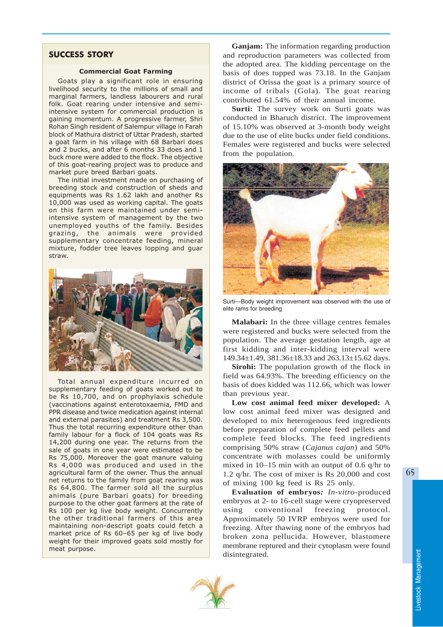# SUCCESS STORY

#### Commercial Goat Farming

Goats play a significant role in ensuring livelihood security to the millions of small and marginal farmers, landless labourers and rural folk. Goat rearing under intensive and semiintensive system for commercial production is gaining momentum. A progressive farmer, Shri Rohan Singh resident of Salempur village in Farah block of Mathura district of Uttar Pradesh, started a goat farm in his village with 68 Barbari does and 2 bucks, and after 6 months 33 does and 1 buck more were added to the flock. The objective of this goat-rearing project was to produce and market pure breed Barbari goats.

The initial investment made on purchasing of breeding stock and construction of sheds and equipments was Rs 1.62 lakh and another Rs 10,000 was used as working capital. The goats on this farm were maintained under semiintensive system of management by the two unemployed youths of the family. Besides grazing, the animals were provided supplementary concentrate feeding, mineral mixture, fodder tree leaves lopping and guar straw.



Total annual expenditure incurred on supplementary feeding of goats worked out to be Rs 10,700, and on prophylaxis schedule (vaccinations against enterotoxaemia, FMD and PPR disease and twice medication against internal and external parasites) and treatment Rs 3,500. Thus the total recurring expenditure other than family labour for a flock of 104 goats was Rs 14,200 during one year. The returns from the sale of goats in one year were estimated to be Rs 75,000. Moreover the goat manure valuing Rs 4,000 was produced and used in the agricultural farm of the owner. Thus the annual net returns to the family from goat rearing was Rs 64,800. The farmer sold all the surplus animals (pure Barbari goats) for breeding purpose to the other goat farmers at the rate of Rs 100 per kg live body weight. Concurrently the other traditional farmers of this area maintaining non-descript goats could fetch a market price of Rs 60–65 per kg of live body weight for their improved goats sold mostly for meat purpose.

**Ganjam:** The information regarding production and reproduction parameters was collected from the adopted area. The kidding percentage on the basis of does tupped was 73.18. In the Ganjam district of Orissa the goat is a primary source of income of tribals (Gola). The goat rearing contributed 61.54% of their annual income.

**Surti:** The survey work on Surti goats was conducted in Bharuch district. The improvement of 15.10% was observed at 3-month body weight due to the use of elite bucks under field conditions. Females were registered and bucks were selected from the population.



Surti—Body weight improvement was observed with the use of elite rams for breeding

**Malabari:** In the three village centres females were registered and bucks were selected from the population. The average gestation length, age at first kidding and inter-kidding interval were 149.34±1.49, 381.36±18.33 and 263.13±15.62 days.

**Sirohi:** The population growth of the flock in field was 64.93%. The breeding efficiency on the basis of does kidded was 112.66, which was lower than previous year.

**Low cost animal feed mixer developed:** A low cost animal feed mixer was designed and developed to mix heterogenous feed ingredients before preparation of complete feed pellets and complete feed blocks. The feed ingredients comprising 50% straw (*Cajanus cajan*) and 50% concentrate with molasses could be uniformly mixed in 10–15 min with an output of 0.6 q/hr to 1.2 q/hr. The cost of mixer is Rs 20,000 and cost of mixing 100 kg feed is Rs 25 only.

**Evaluation of embryos***: In-vitro*-produced embryos at 2- to 16-cell stage were cryopreserved using conventional freezing protocol. Approximately 50 IVRP embryos were used for freezing. After thawing none of the embryos had broken zona pellucida. However, blastomere membrane reptured and their cytoplasm were found disintegrated.



Livestock Management

Livestock Management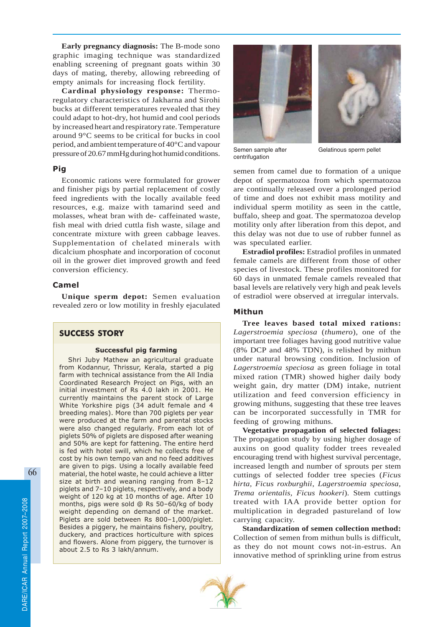**Early pregnancy diagnosis:** The B-mode sono graphic imaging technique was standardized enabling screening of pregnant goats within 30 days of mating, thereby, allowing rebreeding of empty animals for increasing flock fertility.

**Cardinal physiology response:** Thermoregulatory characteristics of Jakharna and Sirohi bucks at different temperatures revealed that they could adapt to hot-dry, hot humid and cool periods by increased heart and respiratory rate. Temperature around 9°C seems to be critical for bucks in cool period, and ambient temperature of 40°C and vapour pressure of 20.67 mmHg during hot humid conditions.

# Pig

Economic rations were formulated for grower and finisher pigs by partial replacement of costly feed ingredients with the locally available feed resources, e.g. maize with tamarind seed and molasses, wheat bran with de- caffeinated waste, fish meal with dried cuttla fish waste, silage and concentrate mixture with green cabbage leaves. Supplementation of chelated minerals with dicalcium phosphate and incorporation of coconut oil in the grower diet improved growth and feed conversion efficiency.

## Camel

**Unique sperm depot:** Semen evaluation revealed zero or low motility in freshly ejaculated

# SUCCESS STORY

# Successful pig farming

Shri Juby Mathew an agricultural graduate from Kodannur, Thrissur, Kerala, started a pig farm with technical assistance from the All India Coordinated Research Project on Pigs, with an initial investment of Rs 4.0 lakh in 2001. He currently maintains the parent stock of Large White Yorkshire pigs (34 adult female and 4 breeding males). More than 700 piglets per year were produced at the farm and parental stocks were also changed regularly. From each lot of piglets 50% of piglets are disposed after weaning and 50% are kept for fattening. The entire herd is fed with hotel swill, which he collects free of cost by his own tempo van and no feed additives are given to pigs. Using a locally available feed material, the hotel waste, he could achieve a litter size at birth and weaning ranging from 8–12 piglets and 7–10 piglets, respectively, and a body weight of 120 kg at 10 months of age. After 10 months, pigs were sold @ Rs 50–60/kg of body weight depending on demand of the market. Piglets are sold between Rs 800–1,000/piglet. Besides a piggery, he maintains fishery, poultry, duckery, and practices horticulture with spices and flowers. Alone from piggery, the turnover is about 2.5 to Rs 3 lakh/annum.





Semen sample after centrifugation

Gelatinous sperm pellet

semen from camel due to formation of a unique depot of spermatozoa from which spermatozoa are continually released over a prolonged period of time and does not exhibit mass motility and individual sperm motility as seen in the cattle, buffalo, sheep and goat. The spermatozoa develop motility only after liberation from this depot, and this delay was not due to use of rubber funnel as was speculated earlier.

**Estradiol profiles:** Estradiol profiles in unmated female camels are different from those of other species of livestock. These profiles monitored for 60 days in unmated female camels revealed that basal levels are relatively very high and peak levels of estradiol were observed at irregular intervals.

# Mithun

**Tree leaves based total mixed rations:** *Lagerstroemia speciosa* (*thumero*), one of the important tree foliages having good nutritive value (8% DCP and 48% TDN), is relished by mithun under natural browsing condition. Inclusion of *Lagerstroemia speciosa* as green foliage in total mixed ration (TMR) showed higher daily body weight gain, dry matter (DM) intake, nutrient utilization and feed conversion efficiency in growing mithuns, suggesting that these tree leaves can be incorporated successfully in TMR for feeding of growing mithuns.

**Vegetative propagation of selected foliages:** The propagation study by using higher dosage of auxins on good quality fodder trees revealed encouraging trend with highest survival percentage, increased length and number of sprouts per stem cuttings of selected fodder tree species (*Ficus hirta, Ficus roxburghii*, *Lagerstroemia speciosa, Trema orientalis, Ficus hookeri*)*.* Stem cuttings treated with IAA provide better option for multiplication in degraded pastureland of low carrying capacity.

**Standardization of semen collection method:** Collection of semen from mithun bulls is difficult, as they do not mount cows not-in-estrus. An innovative method of sprinkling urine from estrus

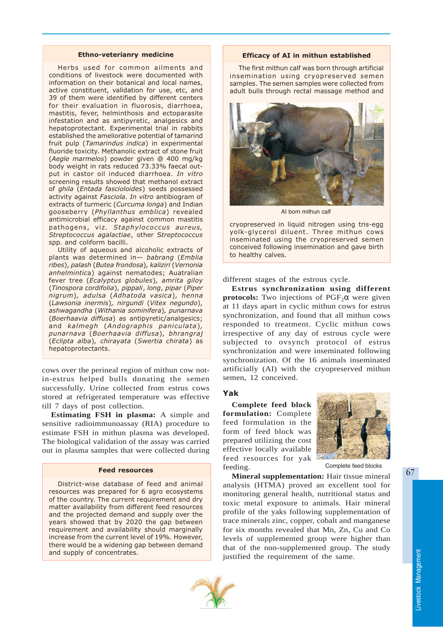#### Ethno-veterianry medicine

Herbs used for common ailments and conditions of livestock were documented with information on their botanical and local names, active constituent, validation for use, etc, and 39 of them were identified by different centers for their evaluation in fluorosis, diarrhoea, mastitis, fever, helminthosis and ectoparasite infestation and as antipyretic, analgesics and hepatoprotectant. Experimental trial in rabbits established the ameliorative potential of tamarind fruit pulp (Tamarindus indica) in experimental fluoride toxicity. Methanolic extract of stone fruit (Aegle marmelos) powder given @ 400 mg/kg body weight in rats reduced 73.33% faecal output in castor oil induced diarrhoea. In vitro screening results showed that methanol extract of ghila (Entada fascioloides) seeds possessed activity against Fasciola. In vitro antibiogram of extracts of turmeric (Curcuma longa) and Indian gooseberry (Phyllanthus emblica) revealed antimicrobial efficacy against common mastitis pathogens, viz. Staphylococcus aureus, Streptococcus agalactiae, other Streptococcus spp. and coliform bacilli.

Utility of aqueous and alcoholic extracts of plants was determined in— babrang (Emblia ribes), palash (Butea frondosa), kaliziri (Vernonia anhelmintica) against nematodes; Auatralian fever tree (Ecalyptus globules), amrita giloy (Tinospora cordifolia), pippali, long, pipar (Piper nigrum), adulsa (Adhatoda vasica), henna (Lawsonia inermis), nirgundi (Vitex negundo), ashwagandha (Withania sominifera), punarnava (Boerhaavia diffusa) as antipyretic/analgesics; and kalmegh (Andographis paniculata), punarnava (Boerhaavia diffusa), bhrangraj (Eclipta alba), chirayata (Swertia chirata) as hepatoprotectants.

cows over the perineal region of mithun cow notin-estrus helped bulls donating the semen successfully. Urine collected from estrus cows stored at refrigerated temperature was effective till 7 days of post collection.

**Estimating FSH in plasma:** A simple and sensitive radioimmunoassay (RIA) procedure to estimate FSH in mithun plasma was developed. The biological validation of the assay was carried out in plasma samples that were collected during

# Feed resources

District-wise database of feed and animal resources was prepared for 6 agro ecosystems of the country. The current requirement and dry matter availability from different feed resources and the projected demand and supply over the years showed that by 2020 the gap between requirement and availability should marginally increase from the current level of 19%. However, there would be a widening gap between demand and supply of concentrates.

#### Efficacy of AI in mithun established

The first mithun calf was born through artificial insemination using cryopreserved semen samples. The semen samples were collected from adult bulls through rectal massage method and



AI born mithun calf

cryopreserved in liquid nitrogen using tris-egg yolk-glycerol diluent. Three mithun cows inseminated using the cryopreserved semen conceived following insemination and gave birth to healthy calves.

different stages of the estrous cycle.

**Estrus synchronization using different protocols:** Two injections of  $PGF<sub>2</sub>α$  were given at 11 days apart in cyclic mithun cows for estrus synchronization, and found that all mithun cows responded to treatment. Cyclic mithun cows irrespective of any day of estrous cycle were subjected to ovsynch protocol of estrus synchronization and were inseminated following synchronization. Of the 16 animals inseminated artificially (AI) with the cryopreserved mithun semen, 12 conceived.

#### Yak

**Complete feed block formulation:** Complete feed formulation in the form of feed block was prepared utilizing the cost effective locally available feed resources for yak feeding.



Complete feed blocks

**Mineral supplementation:** Hair tissue mineral analysis (HTMA) proved an excellent tool for monitoring general health, nutritional status and toxic metal exposure to animals. Hair mineral profile of the yaks following supplementation of trace minerals zinc, copper, cobalt and manganese for six months revealed that Mn, Zn, Cu and Co levels of supplemented group were higher than that of the non-supplemented group. The study justified the requirement of the same.

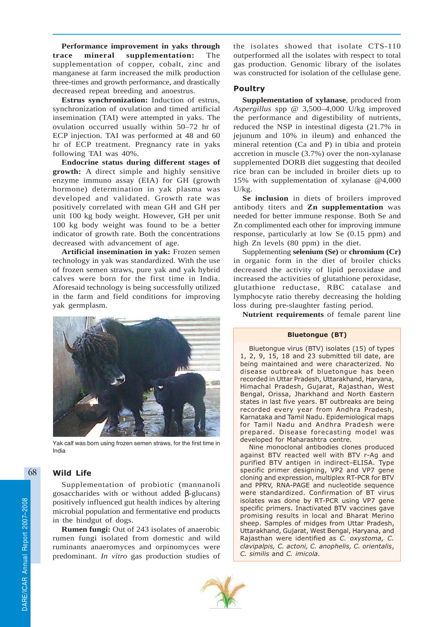**Performance improvement in yaks through trace mineral supplementation:** The supplementation of copper, cobalt, zinc and manganese at farm increased the milk production three-times and growth performance, and drastically decreased repeat breeding and anoestrus.

**Estrus synchronization:** Induction of estrus, synchronization of ovulation and timed artificial insemination (TAI) were attempted in yaks. The ovulation occurred usually within 50–72 hr of ECP injection. TAI was performed at 48 and 60 hr of ECP treatment. Pregnancy rate in yaks following TAI was 40%.

**Endocrine status during different stages of growth:** A direct simple and highly sensitive enzyme immuno assay (EIA) for GH (growth hormone) determination in yak plasma was developed and validated. Growth rate was positively correlated with mean GH and GH per unit 100 kg body weight. However, GH per unit 100 kg body weight was found to be a better indicator of growth rate. Both the concentrations decreased with advancement of age.

**Artificial insemination in yak:** Frozen semen technology in yak was standardized. With the use of frozen semen straws, pure yak and yak hybrid calves were born for the first time in India. Aforesaid technology is being successfully utilized in the farm and field conditions for improving yak germplasm.



Yak calf was born using frozen semen straws, for the first time in India

# Wild Life

Supplementation of probiotic (mannanoli gosaccharides with or without added β-glucans) positively influenced gut health indices by altering microbial population and fermentative end products in the hindgut of dogs.

**Rumen fungi:** Out of 243 isolates of anaerobic rumen fungi isolated from domestic and wild ruminants anaeromyces and orpinomyces were predominant. *In vitro* gas production studies of the isolates showed that isolate CTS-110 outperformed all the isolates with respect to total gas production. Genomic library of the isolates was constructed for isolation of the cellulase gene.

# Poultry

**Supplementation of xylanase**, produced from *Aspergillus* spp @ 3,500–4,000 U/kg improved the performance and digestibility of nutrients, reduced the NSP in intestinal digesta (21.7% in jejunum and 10% in ileum) and enhanced the mineral retention (Ca and P) in tibia and protein accretion in muscle (3.7%) over the non-xylanase supplemented DORB diet suggesting that deoiled rice bran can be included in broiler diets up to 15% with supplementation of xylanase @4,000 U/kg.

**Se inclusion** in diets of broilers improved antibody titers and **Zn supplementation** was needed for better immune response. Both Se and Zn complimented each other for improving immune response, particularly at low Se (0.15 ppm) and high Zn levels (80 ppm) in the diet.

Supplementing **selenium (Se)** or **chromium (Cr)** in organic form in the diet of broiler chicks decreased the activity of lipid peroxidase and increased the activities of glutathione peroxidase, glutathione reductase, RBC catalase and lymphocyte ratio thereby decreasing the holding loss during pre-slaughter fasting period.

**Nutrient requirements** of female parent line

### Bluetongue (BT)

Bluetongue virus (BTV) isolates (15) of types 1, 2, 9, 15, 18 and 23 submitted till date, are being maintained and were characterized. No disease outbreak of bluetongue has been recorded in Uttar Pradesh, Uttarakhand, Haryana, Himachal Pradesh, Gujarat, Rajasthan, West Bengal, Orissa, Jharkhand and North Eastern states in last five years. BT outbreaks are being recorded every year from Andhra Pradesh, Karnataka and Tamil Nadu. Epidemiological maps for Tamil Nadu and Andhra Pradesh were prepared. Disease forecasting model was developed for Maharashtra centre.

Nine monoclonal antibodies clones produced against BTV reacted well with BTV r-Ag and purified BTV antigen in indirect-ELISA. Type specific primer designing, VP2 and VP7 gene cloning and expression, multiplex RT-PCR for BTV and PPRV, RNA-PAGE and nucleotide sequence were standardized. Confirmation of BT virus isolates was done by RT-PCR using VP7 gene specific primers. Inactivated BTV vaccines gave promising results in local and Bharat Merino sheep. Samples of midges from Uttar Pradesh, Uttarakhand, Gujarat, West Bengal, Haryana, and Rajasthan were identified as C. oxystoma, C. clavipalpis, C. actoni, C. anophelis, C. orientalis, C. similis and C. imicola.

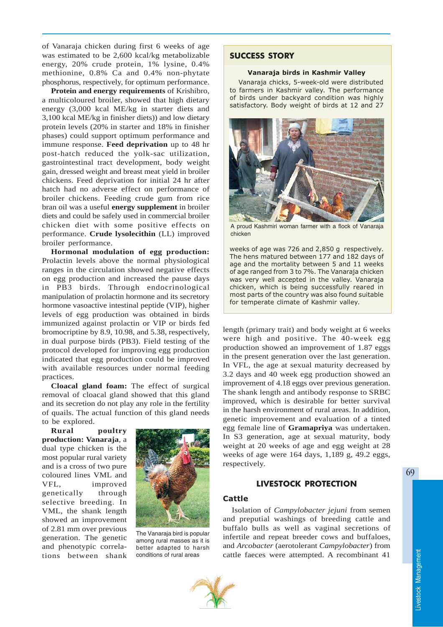of Vanaraja chicken during first 6 weeks of age was estimated to be 2,600 kcal/kg metabolizable energy, 20% crude protein, 1% lysine, 0.4% methionine, 0.8% Ca and 0.4% non-phytate phosphorus, respectively, for optimum performance.

**Protein and energy requirements** of Krishibro, a multicoloured broiler, showed that high dietary energy (3,000 kcal ME/kg in starter diets and 3,100 kcal ME/kg in finisher diets)) and low dietary protein levels (20% in starter and 18% in finisher phases) could support optimum performance and immune response. **Feed deprivation** up to 48 hr post-hatch reduced the yolk-sac utilization, gastrointestinal tract development, body weight gain, dressed weight and breast meat yield in broiler chickens. Feed deprivation for initial 24 hr after hatch had no adverse effect on performance of broiler chickens. Feeding crude gum from rice bran oil was a useful **energy supplement** in broiler diets and could be safely used in commercial broiler chicken diet with some positive effects on performance. **Crude lysolecithin** (LL) improved broiler performance.

**Hormonal modulation of egg production:** Prolactin levels above the normal physiological ranges in the circulation showed negative effects on egg production and increased the pause days in PB3 birds. Through endocrinological manipulation of prolactin hormone and its secretory hormone vasoactive intestinal peptide (VIP), higher levels of egg production was obtained in birds immunized against prolactin or VIP or birds fed bromocriptine by 8.9, 10.98, and 5.38, respectively, in dual purpose birds (PB3). Field testing of the protocol developed for improving egg production indicated that egg production could be improved with available resources under normal feeding practices.

**Cloacal gland foam:** The effect of surgical removal of cloacal gland showed that this gland and its secretion do not play any role in the fertility of quails. The actual function of this gland needs to be explored.

**Rural poultry production: Vanaraja**, a dual type chicken is the most popular rural variety and is a cross of two pure coloured lines VML and VFL, improved genetically through selective breeding. In VML, the shank length showed an improvement of 2.81 mm over previous generation. The genetic and phenotypic correlations between shank



The Vanaraja bird is popular among rural masses as it is better adapted to harsh conditions of rural areas

# SUCCESS STORY

#### Vanaraja birds in Kashmir Valley

Vanaraja chicks, 5-week-old were distributed to farmers in Kashmir valley. The performance of birds under backyard condition was highly satisfactory. Body weight of birds at 12 and 27



A proud Kashmiri woman farmer with a flock of Vanaraja chicken

weeks of age was 726 and 2,850 g respectively. The hens matured between 177 and 182 days of age and the mortality between 5 and 11 weeks of age ranged from 3 to 7%. The Vanaraja chicken was very well accepted in the valley. Vanaraja chicken, which is being successfully reared in most parts of the country was also found suitable for temperate climate of Kashmir valley.

length (primary trait) and body weight at 6 weeks were high and positive. The 40-week egg production showed an improvement of 1.87 eggs in the present generation over the last generation. In VFL, the age at sexual maturity decreased by 3.2 days and 40 week egg production showed an improvement of 4.18 eggs over previous generation. The shank length and antibody response to SRBC improved, which is desirable for better survival in the harsh environment of rural areas. In addition, genetic improvement and evaluation of a tinted egg female line of **Gramapriya** was undertaken. In S3 generation, age at sexual maturity, body weight at 20 weeks of age and egg weight at 28 weeks of age were 164 days, 1,189 g, 49.2 eggs, respectively.

# LIVESTOCK PROTECTION

# Cattle

Isolation of *Campylobacter jejuni* from semen and preputial washings of breeding cattle and buffalo bulls as well as vaginal secretions of infertile and repeat breeder cows and buffaloes, and *Arcobacter* (aerotolerant *Campylobacter*) from cattle faeces were attempted. A recombinant 41

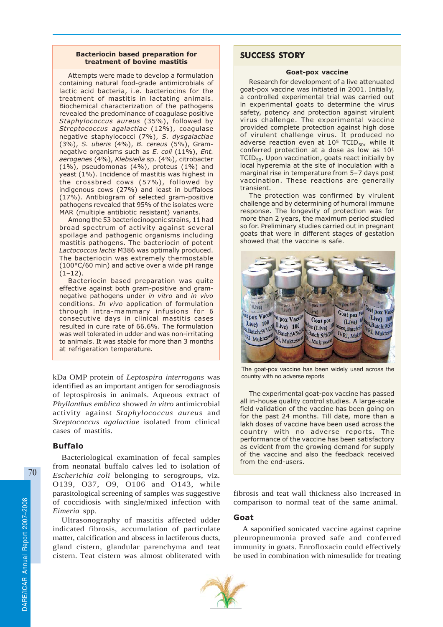#### Bacteriocin based preparation for treatment of bovine mastitis

Attempts were made to develop a formulation containing natural food-grade antimicrobials of lactic acid bacteria, i.e. bacteriocins for the treatment of mastitis in lactating animals. Biochemical characterization of the pathogens revealed the predominance of coagulase positive Staphylococcus aureus (35%), followed by Streptococcus agalactiae (12%), coagulase negative staphylococci (7%), S. dysgalactiae (3%), S. uberis (4%), B. cereus (5%), Gramnegative organisms such as E. coli (11%), Ent. aerogenes (4%), Klebsiella sp. (4%), citrobacter (1%), pseudomonas (4%), proteus (1%) and yeast (1%). Incidence of mastitis was highest in the crossbred cows (57%), followed by indigenous cows (27%) and least in buffaloes (17%). Antibiogram of selected gram-positive pathogens revealed that 95% of the isolates were MAR (multiple antibiotic resistant) variants.

Among the 53 bacteriocinogenic strains, 11 had broad spectrum of activity against several spoilage and pathogenic organisms including mastitis pathogens. The bacteriocin of potent Lactococcus lactis M386 was optimally produced. The bacteriocin was extremely thermostable (100°C/60 min) and active over a wide pH range  $(1-12)$ .

Bacteriocin based preparation was quite effective against both gram-positive and gramnegative pathogens under in vitro and in vivo conditions. In vivo application of formulation through intra-mammary infusions for 6 consecutive days in clinical mastitis cases resulted in cure rate of 66.6%. The formulation was well tolerated in udder and was non-irritating to animals. It was stable for more than 3 months at refrigeration temperature.

kDa OMP protein of *Leptospira interrogans* was identified as an important antigen for serodiagnosis of leptospirosis in animals. Aqueous extract of *Phyllanthus emblica* showed *in vitro* antimicrobial activity against *Staphylococcus aureus* and *Streptococcus agalactiae* isolated from clinical cases of mastitis.

# Buffalo

Bacteriological examination of fecal samples from neonatal buffalo calves led to isolation of *Escherichia coli* belonging to serogroups, viz*.* O139, O37, O9, O106 and O143, while parasitological screening of samples was suggestive of coccidiosis with single/mixed infection with *Eimeria* spp.

Ultrasonography of mastitis affected udder indicated fibrosis, accumulation of particulate matter, calcification and abscess in lactiferous ducts, gland cistern, glandular parenchyma and teat cistern. Teat cistern was almost obliterated with

# SUCCESS STORY

#### Goat-pox vaccine

Research for development of a live attenuated goat-pox vaccine was initiated in 2001. Initially, a controlled experimental trial was carried out in experimental goats to determine the virus safety, potency and protection against virulent virus challenge. The experimental vaccine provided complete protection against high dose of virulent challenge virus. It produced no adverse reaction even at  $10^5$  TCID<sub>50</sub>, while it conferred protection at a dose as low as 10<sup>1</sup> TCID<sub>50</sub>. Upon vaccination, goats react initially by local hyperemia at the site of inoculation with a marginal rise in temperature from 5–7 days post vaccination. These reactions are generally transient.

The protection was confirmed by virulent challenge and by determining of humoral immune response. The longevity of protection was for more than 2 years, the maximum period studied so for. Preliminary studies carried out in pregnant goats that were in different stages of gestation showed that the vaccine is safe.



The goat-pox vaccine has been widely used across the country with no adverse reports

The experimental goat-pox vaccine has passed all in-house quality control studies. A large-scale field validation of the vaccine has been going on for the past 24 months. Till date, more than a lakh doses of vaccine have been used across the country with no adverse reports. The performance of the vaccine has been satisfactory as evident from the growing demand for supply of the vaccine and also the feedback received from the end-users.

fibrosis and teat wall thickness also increased in comparison to normal teat of the same animal.

# Goat

A saponified sonicated vaccine against caprine pleuropneumonia proved safe and conferred immunity in goats. Enrofloxacin could effectively be used in combination with nimesulide for treating

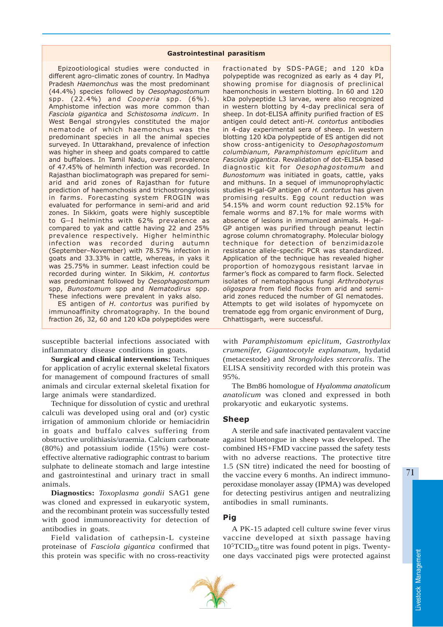#### Gastrointestinal parasitism

Epizootiological studies were conducted in different agro-climatic zones of country. In Madhya Pradesh Haemonchus was the most predominant (44.4%) species followed by Oesophagostomum spp. (22.4%) and Cooperia spp. (6%). Amphistome infection was more common than Fasciola gigantica and Schistosoma indicum. In West Bengal strongyles constituted the major nematode of which haemonchus was the predominant species in all the animal species surveyed. In Uttarakhand, prevalence of infection was higher in sheep and goats compared to cattle and buffaloes. In Tamil Nadu, overall prevalence of 47.45% of helminth infection was recorded. In Rajasthan bioclimatograph was prepared for semiarid and arid zones of Rajasthan for future prediction of haemonchosis and trichostrongylosis in farms. Forecasting system FROGIN was evaluated for performance in semi-arid and arid zones. In Sikkim, goats were highly susceptible to G-I helminths with 62% prevalence as compared to yak and cattle having 22 and 25% prevalence respectively. Higher helminthic infection was recorded during autumn (September–November) with 78.57% infection in goats and 33.33% in cattle, whereas, in yaks it was 25.75% in summer. Least infection could be recorded during winter. In Sikkim, H. contortus was predominant followed by Oesophagostomum spp, Bunostomum spp and Nematodirus spp. These infections were prevalent in yaks also.

ES antigen of H. contortus was purified by immunoaffinity chromatography. In the bound fraction 26, 32, 60 and 120 kDa polypeptides were

susceptible bacterial infections associated with inflammatory disease conditions in goats.

**Surgical and clinical interventions:** Techniques for application of acrylic external skeletal fixators for management of compound fractures of small animals and circular external skeletal fixation for large animals were standardized.

Technique for dissolution of cystic and urethral calculi was developed using oral and (or) cystic irrigation of ammonium chloride or hemiacidrin in goats and buffalo calves suffering from obstructive urolithiasis/uraemia. Calcium carbonate (80%) and potassium iodide (15%) were costeffective alternative radiographic contrast to barium sulphate to delineate stomach and large intestine and gastrointestinal and urinary tract in small animals.

**Diagnostics:** *Toxoplasma gondii* SAG1 gene was cloned and expressed in eukaryotic system, and the recombinant protein was successfully tested with good immunoreactivity for detection of antibodies in goats.

Field validation of cathepsin-L cysteine proteinase of *Fasciola gigantica* confirmed that this protein was specific with no cross-reactivity

fractionated by SDS-PAGE; and 120 kDa polypeptide was recognized as early as 4 day PI, showing promise for diagnosis of preclinical haemonchosis in western blotting. In 60 and 120 kDa polypeptide L3 larvae, were also recognized in western blotting by 4-day preclinical sera of sheep. In dot-ELISA affinity purified fraction of ES antigen could detect anti-H. contortus antibodies in 4-day experimental sera of sheep. In western blotting 120 kDa polypeptide of ES antigen did not show cross-antigenicity to Oesophagostomum columbianum, Paramphistomum epiclitum and Fasciola gigantica. Revalidation of dot-ELISA based diagnostic kit for Oesophagostomum and Bunostomum was initiated in goats, cattle, yaks and mithuns. In a sequel of immunoprophylactic studies H-gal-GP antigen of H. contortus has given promising results. Egg count reduction was 54.15% and worm count reduction 92.15% for female worms and 87.1% for male worms with absence of lesions in immunized animals. H-gal-GP antigen was purified through peanut lectin agrose column chromatography. Molecular biology technique for detection of benzimidazole resistance allele-specific PCR was standardized. Application of the technique has revealed higher proportion of homozygous resistant larvae in farmer's flock as compared to farm flock. Selected isolates of nematophagous fungi Arthrobotyrus oligospora from field flocks from arid and semiarid zones reduced the number of GI nematodes. Attempts to get wild isolates of hypomycete on trematode egg from organic environment of Durg, Chhattisgarh, were successful.

with *Paramphistomum epiclitum, Gastrothylax crumenifer, Gigantocotyle explanatum,* hydatid (metacestode) and *Strongyloides stercoralis*. The ELISA sensitivity recorded with this protein was 95%.

The Bm86 homologue of *Hyalomma anatolicum anatolicum* was cloned and expressed in both prokaryotic and eukaryotic systems.

## Sheep

A sterile and safe inactivated pentavalent vaccine against bluetongue in sheep was developed. The combined HS+FMD vaccine passed the safety tests with no adverse reactions. The protective titre 1.5 (SN titre) indicated the need for boosting of the vaccine every 6 months. An indirect immunoperoxidase monolayer assay (IPMA) was developed for detecting pestivirus antigen and neutralizing antibodies in small ruminants.

# Pig

A PK-15 adapted cell culture swine fever virus vaccine developed at sixth passage having  $10^5$ TCID<sub>50</sub> titre was found potent in pigs. Twentyone days vaccinated pigs were protected against



Livestock Management

Livestock Management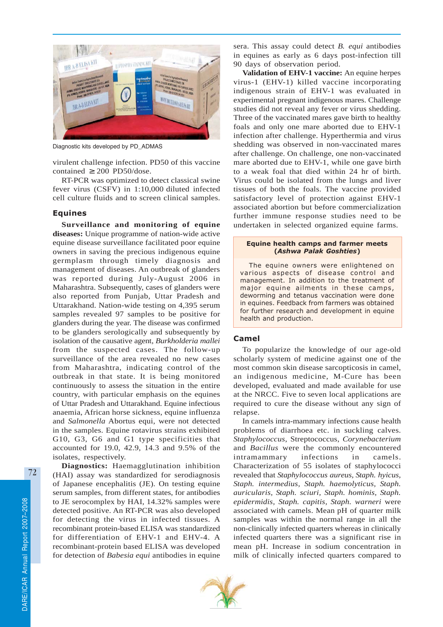

Diagnostic kits developed by PD\_ADMAS

virulent challenge infection. PD50 of this vaccine contained  $\geq 200$  PD50/dose.

RT-PCR was optimized to detect classical swine fever virus (CSFV) in 1:10,000 diluted infected cell culture fluids and to screen clinical samples.

#### Equines

**Surveillance and monitoring of equine diseases:** Unique programme of nation-wide active equine disease surveillance facilitated poor equine owners in saving the precious indigenous equine germplasm through timely diagnosis and management of diseases. An outbreak of glanders was reported during July-August 2006 in Maharashtra. Subsequently, cases of glanders were also reported from Punjab, Uttar Pradesh and Uttarakhand. Nation-wide testing on 4,395 serum samples revealed 97 samples to be positive for glanders during the year. The disease was confirmed to be glanders serologically and subsequently by isolation of the causative agent, *Burkholderia mallei* from the suspected cases. The follow-up surveillance of the area revealed no new cases from Maharashtra, indicating control of the outbreak in that state. It is being monitored continuously to assess the situation in the entire country, with particular emphasis on the equines of Uttar Pradesh and Uttarakhand. Equine infectious anaemia, African horse sickness, equine influenza and *Salmonella* Abortus equi, were not detected in the samples. Equine rotavirus strains exhibited G10, G3, G6 and G1 type specificities that accounted for 19.0, 42.9, 14.3 and 9.5% of the isolates, respectively.

**Diagnostics:** Haemagglutination inhibition (HAI) assay was standardized for serodiagnosis of Japanese encephalitis (JE). On testing equine serum samples, from different states, for antibodies to JE serocomplex by HAI, 14.32% samples were detected positive. An RT-PCR was also developed for detecting the virus in infected tissues. A recombinant protein-based ELISA was standardized for differentiation of EHV-1 and EHV-4. A recombinant-protein based ELISA was developed for detection of *Babesia equi* antibodies in equine sera. This assay could detect *B. equi* antibodies in equines as early as 6 days post-infection till 90 days of observation period.

**Validation of EHV-1 vaccine:** An equine herpes virus-1 (EHV-1) killed vaccine incorporating indigenous strain of EHV-1 was evaluated in experimental pregnant indigenous mares. Challenge studies did not reveal any fever or virus shedding. Three of the vaccinated mares gave birth to healthy foals and only one mare aborted due to EHV-1 infection after challenge. Hyperthermia and virus shedding was observed in non-vaccinated mares after challenge. On challenge, one non-vaccinated mare aborted due to EHV-1, while one gave birth to a weak foal that died within 24 hr of birth. Virus could be isolated from the lungs and liver tissues of both the foals. The vaccine provided satisfactory level of protection against EHV-1 associated abortion but before commercialization further immune response studies need to be undertaken in selected organized equine farms.

#### Equine health camps and farmer meets (Ashwa Palak Goshties)

The equine owners were enlightened on various aspects of disease control and management. In addition to the treatment of major equine ailments in these camps, deworming and tetanus vaccination were done in equines. Feedback from farmers was obtained for further research and development in equine health and production.

# Camel

To popularize the knowledge of our age-old scholarly system of medicine against one of the most common skin disease sarcopticosis in camel, an indigenous medicine, M-Cure has been developed, evaluated and made available for use at the NRCC. Five to seven local applications are required to cure the disease without any sign of relapse.

In camels intra-mammary infections cause health problems of diarrhoea etc. in suckling calves. *Staphylococcus*, Streptococcus, *Corynebacterium* and *Bacillus* were the commonly encountered intramammary infections in camels. Characterization of 55 isolates of staphylococci revealed that *Staphylococcus aureus, Staph. hyicus, Staph. intermedius, Staph. haemolyticus, Staph. auricularis, Staph. sciuri, Staph. hominis, Staph. epidermidis, Staph. capitis, Staph. warneri* were associated with camels. Mean pH of quarter milk samples was within the normal range in all the non-clinically infected quarters whereas in clinically infected quarters there was a significant rise in mean pH. Increase in sodium concentration in milk of clinically infected quarters compared to

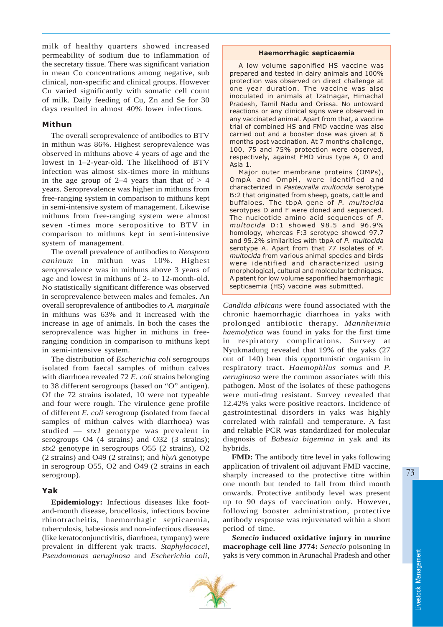milk of healthy quarters showed increased permeability of sodium due to inflammation of the secretary tissue. There was significant variation in mean Co concentrations among negative, sub clinical, non-specific and clinical groups. However Cu varied significantly with somatic cell count of milk. Daily feeding of Cu, Zn and Se for 30 days resulted in almost 40% lower infections.

# Mithun

The overall seroprevalence of antibodies to BTV in mithun was 86%. Highest seroprevalence was observed in mithuns above 4 years of age and the lowest in 1–2-year-old. The likelihood of BTV infection was almost six-times more in mithuns in the age group of 2–4 years than that of  $> 4$ years. Seroprevalence was higher in mithuns from free-ranging system in comparison to mithuns kept in semi-intensive system of management. Likewise mithuns from free-ranging system were almost seven -times more seropositive to BTV in comparison to mithuns kept in semi-intensive system of management.

The overall prevalence of antibodies to *Neospora caninum* in mithun was 10%. Highest seroprevalence was in mithuns above 3 years of age and lowest in mithuns of 2- to 12-month-old. No statistically significant difference was observed in seroprevalence between males and females. An overall seroprevalence of antibodies to *A. marginale* in mithuns was 63% and it increased with the increase in age of animals. In both the cases the seroprevalence was higher in mithuns in freeranging condition in comparison to mithuns kept in semi-intensive system.

The distribution of *Escherichia coli* serogroups isolated from faecal samples of mithun calves with diarrhoea revealed 72 *E. coli* strains belonging to 38 different serogroups (based on "O" antigen). Of the 72 strains isolated, 10 were not typeable and four were rough. The virulence gene profile of different *E. coli* serogroup **(**isolated from faecal samples of mithun calves with diarrhoea) was studied — *stx1* genotype was prevalent in serogroups O4 (4 strains) and O32 (3 strains); *stx2* genotype in serogroups O55 (2 strains), O2 (2 strains) and O49 (2 strains); and *hlyA* genotype in serogroup O55, O2 and O49 (2 strains in each serogroup).

# Yak

**Epidemiology:** Infectious diseases like footand-mouth disease, brucellosis, infectious bovine rhinotracheitis, haemorrhagic septicaemia, tuberculosis, babesiosis and non-infectious diseases (like keratoconjunctivitis, diarrhoea, tympany) were prevalent in different yak tracts. *Staphylococci*, *Pseudomonas aeruginosa* and *Escherichia coli*,

#### Haemorrhagic septicaemia

A low volume saponified HS vaccine was prepared and tested in dairy animals and 100% protection was observed on direct challenge at one year duration. The vaccine was also inoculated in animals at Izatnagar, Himachal Pradesh, Tamil Nadu and Orissa. No untoward reactions or any clinical signs were observed in any vaccinated animal. Apart from that, a vaccine trial of combined HS and FMD vaccine was also carried out and a booster dose was given at 6 months post vaccination. At 7 months challenge, 100, 75 and 75% protection were observed, respectively, against FMD virus type A, O and Asia 1.

Major outer membrane proteins (OMPs), OmpA and OmpH, were identified and characterized in Pasteuralla multocida serotype B:2 that originated from sheep, goats, cattle and buffaloes. The tbpA gene of P. multocida serotypes D and F were cloned and sequenced. The nucleotide amino acid sequences of P. multocida D:1 showed 98.5 and 96.9% homology, whereas F:3 serotype showed 97.7 and 95.2% similarities with tbpA of P. multocida serotype A. Apart from that 77 isolates of P. multocida from various animal species and birds were identified and characterized using morphological, cultural and molecular techniques. A patent for low volume saponified haemorrhagic septicaemia (HS) vaccine was submitted.

*Candida albicans* were found associated with the chronic haemorrhagic diarrhoea in yaks with prolonged antibiotic therapy. *Mannheimia haemolytica* was found in yaks for the first time in respiratory complications. Survey at Nyukmadung revealed that 19% of the yaks (27 out of 140) bear this opportunistic organism in respiratory tract. *Haemophilus somus* and *P. aeruginosa* were the common associates with this pathogen. Most of the isolates of these pathogens were muti-drug resistant. Survey revealed that 12.42% yaks were positive reactors. Incidence of gastrointestinal disorders in yaks was highly correlated with rainfall and temperature. A fast and reliable PCR was standardized for molecular diagnosis of *Babesia bigemina* in yak and its hybrids.

**FMD:** The antibody titre level in yaks following application of trivalent oil adjuvant FMD vaccine, sharply increased to the protective titre within one month but tended to fall from third month onwards. Protective antibody level was present up to 90 days of vaccination only. However, following booster administration, protective antibody response was rejuvenated within a short period of time.

*Senecio* **induced oxidative injury in murine macrophage cell line J774:** *Senecio* poisoning in yaks is very common in Arunachal Pradesh and other

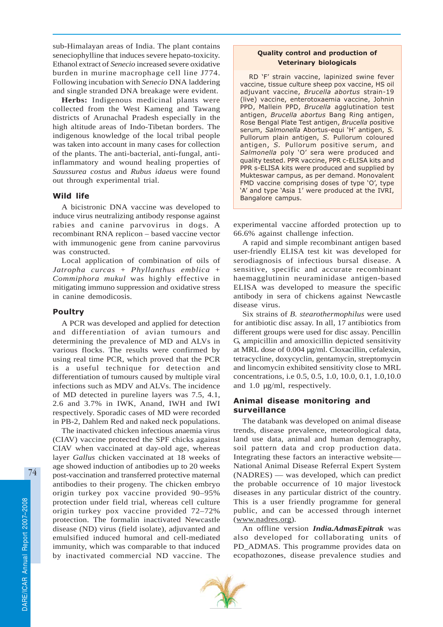sub-Himalayan areas of India. The plant contains seneciophylline that induces severe hepato-toxicity. Ethanol extract of *Senecio* increased severe oxidative burden in murine macrophage cell line J774. Following incubation with *Senecio* DNA laddering and single stranded DNA breakage were evident.

**Herbs:** Indigenous medicinal plants were collected from the West Kameng and Tawang districts of Arunachal Pradesh especially in the high altitude areas of Indo-Tibetan borders. The indigenous knowledge of the local tribal people was taken into account in many cases for collection of the plants. The anti-bacterial, anti-fungal, antiinflammatory and wound healing properties of *Saussurea costus* and *Rubus idaeus* were found out through experimental trial.

## Wild life

A bicistronic DNA vaccine was developed to induce virus neutralizing antibody response against rabies and canine parvovirus in dogs. A recombinant RNA replicon – based vaccine vector with immunogenic gene from canine parvovirus was constructed.

Local application of combination of oils of *Jatropha curcas* + *Phyllanthus emblica* + *Commiphora mukul* was highly effective in mitigating immuno suppression and oxidative stress in canine demodicosis.

## Poultry

A PCR was developed and applied for detection and differentiation of avian tumours and determining the prevalence of MD and ALVs in various flocks. The results were confirmed by using real time PCR, which proved that the PCR is a useful technique for detection and differentiation of tumours caused by multiple viral infections such as MDV and ALVs. The incidence of MD detected in pureline layers was 7.5, 4.1, 2.6 and 3.7% in IWK, Anand, IWH and IWI respectively. Sporadic cases of MD were recorded in PB-2, Dahlem Red and naked neck populations.

The inactivated chicken infectious anaemia virus (CIAV) vaccine protected the SPF chicks against CIAV when vaccinated at day-old age, whereas layer *Gallus* chicken vaccinated at 18 weeks of age showed induction of antibodies up to 20 weeks post-vaccination and transferred protective maternal antibodies to their progeny. The chicken embryo origin turkey pox vaccine provided 90–95% protection under field trial, whereas cell culture origin turkey pox vaccine provided 72–72% protection. The formalin inactivated Newcastle disease (ND) virus (field isolate), adjuvanted and emulsified induced humoral and cell-mediated immunity, which was comparable to that induced by inactivated commercial ND vaccine. The

# Quality control and production of Veterinary biologicals

RD 'F' strain vaccine, lapinized swine fever vaccine, tissue culture sheep pox vaccine, HS oil adjuvant vaccine, Brucella abortus strain-19 (live) vaccine, enterotoxaemia vaccine, Johnin PPD, Mallein PPD, Brucella agglutination test antigen, Brucella abortus Bang Ring antigen, Rose Bengal Plate Test antigen, Brucella positive serum, Salmonella Abortus-equi 'H' antigen, S. Pullorum plain antigen, S. Pullorum coloured antigen, S. Pullorum positive serum, and Salmonella poly 'O' sera were produced and quality tested. PPR vaccine, PPR c-ELISA kits and PPR s-ELISA kits were produced and supplied by Mukteswar campus, as per demand. Monovalent FMD vaccine comprising doses of type 'O', type 'A' and type 'Asia 1' were produced at the IVRI, Bangalore campus.

experimental vaccine afforded protection up to 66.6% against challenge infection.

A rapid and simple recombinant antigen based user-friendly ELISA test kit was developed for serodiagnosis of infectious bursal disease. A sensitive, specific and accurate recombinant haemagglutinin neuraminidase antigen-based ELISA was developed to measure the specific antibody in sera of chickens against Newcastle disease virus.

Six strains of *B. stearothermophilus* were used for antibiotic disc assay. In all, 17 antibiotics from different groups were used for disc assay. Pencillin G, ampicillin and amoxicillin depicted sensitivity at MRL dose of 0.004 µg/ml. Cloxacillin, cefalexin, tetracycline, doxycyclin, gentamycin, streptomycin and lincomycin exhibited sensitivity close to MRL concentrations, i.e 0.5, 0.5, 1.0, 10.0, 0.1, 1.0,10.0 and 1.0 µg/ml, respectively.

# Animal disease monitoring and surveillance

The databank was developed on animal disease trends, disease prevalence, meteorological data, land use data, animal and human demography, soil pattern data and crop production data. Integrating these factors an interactive website— National Animal Disease Referral Expert System (NADRES) — was developed, which can predict the probable occurrence of 10 major livestock diseases in any particular district of the country. This is a user friendly programme for general public, and can be accessed through internet (www.nadres.org).

An offline version *India.AdmasEpitrak* was also developed for collaborating units of PD\_ADMAS. This programme provides data on ecopathozones, disease prevalence studies and

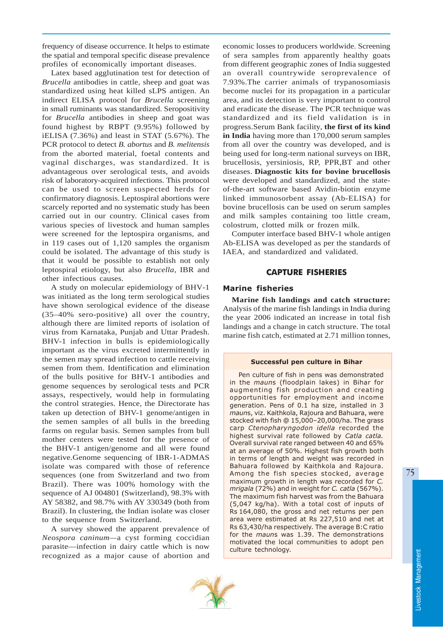frequency of disease occurrence. It helps to estimate the spatial and temporal specific disease prevalence profiles of economically important diseases.

Latex based agglutination test for detection of *Brucella* antibodies in cattle, sheep and goat was standardized using heat killed sLPS antigen. An indirect ELISA protocol for *Brucella* screening in small ruminants was standardized. Seropositivity for *Brucella* antibodies in sheep and goat was found highest by RBPT (9.95%) followed by iELISA (7.36%) and least in STAT (5.67%). The PCR protocol to detect *B. abortus* and *B. melitensis* from the aborted material, foetal contents and vaginal discharges, was standardized. It is advantageous over serological tests, and avoids risk of laboratory-acquired infections. This protocol can be used to screen suspected herds for confirmatory diagnosis. Leptospiral abortions were scarcely reported and no systematic study has been carried out in our country. Clinical cases from various species of livestock and human samples were screened for the leptospira organisms, and in 119 cases out of 1,120 samples the organism could be isolated. The advantage of this study is that it would be possible to establish not only leptospiral etiology, but also *Brucella*, IBR and other infectious causes.

A study on molecular epidemiology of BHV-1 was initiated as the long term serological studies have shown serological evidence of the disease (35–40% sero-positive) all over the country, although there are limited reports of isolation of virus from Karnataka, Punjab and Uttar Pradesh. BHV-1 infection in bulls is epidemiologically important as the virus excreted intermittently in the semen may spread infection to cattle receiving semen from them. Identification and elimination of the bulls positive for BHV-1 antibodies and genome sequences by serological tests and PCR assays, respectively, would help in formulating the control strategies. Hence, the Directorate has taken up detection of BHV-1 genome/antigen in the semen samples of all bulls in the breeding farms on regular basis. Semen samples from bull mother centers were tested for the presence of the BHV-1 antigen/genome and all were found negative.Genome sequencing of IBR-1-ADMAS isolate was compared with those of reference sequences (one from Switzerland and two from Brazil). There was 100% homology with the sequence of AJ 004801 (Switzerland), 98.3% with AY 58382, and 98.7% with AY 330349 (both from Brazil). In clustering, the Indian isolate was closer to the sequence from Switzerland.

A survey showed the apparent prevalence of *Neospora caninum—*a cyst forming coccidian parasite—infection in dairy cattle which is now recognized as a major cause of abortion and

economic losses to producers worldwide. Screening of sera samples from apparently healthy goats from different geographic zones of India suggested an overall countrywide seroprevalence of 7.93%.The carrier animals of trypanosomiasis become nuclei for its propagation in a particular area, and its detection is very important to control and eradicate the disease. The PCR technique was standardized and its field validation is in progress.Serum Bank facility, **the first of its kind in India** having more than 170,000 serum samples from all over the country was developed, and is being used for long-term national surveys on IBR, brucellosis, yersiniosis, RP, PPR,BT and other diseases. **Diagnostic kits for bovine brucellosis** were developed and standardized, and the stateof-the-art software based Avidin-biotin enzyme linked immunosorbent assay (Ab-ELISA) for bovine brucellosis can be used on serum samples and milk samples containing too little cream, colostrum, clotted milk or frozen milk.

 Computer interface based BHV-1 whole antigen Ab-ELISA was developed as per the standards of IAEA, and standardized and validated.

# CAPTURE FISHERIES

# Marine fisheries

**Marine fish landings and catch structure:** Analysis of the marine fish landings in India during the year 2006 indicated an increase in total fish landings and a change in catch structure. The total marine fish catch, estimated at 2.71 million tonnes,

#### Successful pen culture in Bihar

Pen culture of fish in pens was demonstrated in the mauns (floodplain lakes) in Bihar for augmenting fish production and creating opportunities for employment and income generation. Pens of 0.1 ha size, installed in 3 mauns, viz. Kaithkola, Rajoura and Bahuara, were stocked with fish @ 15,000–20,000/ha. The grass carp Ctenopharyngodon idella recorded the highest survival rate followed by Catla catla. Overall survival rate ranged between 40 and 65% at an average of 50%. Highest fish growth both in terms of length and weight was recorded in Bahuara followed by Kaithkola and Rajoura. Among the fish species stocked, average maximum growth in length was recorded for C. mrigala (72%) and in weight for C. catla (567%). The maximum fish harvest was from the Bahuara (5,047 kg/ha). With a total cost of inputs of Rs 164,080, the gross and net returns per pen area were estimated at Rs 227,510 and net at Rs 63,430/ha respectively. The average B:C ratio for the mauns was 1.39. The demonstrations motivated the local communities to adopt pen culture technology.

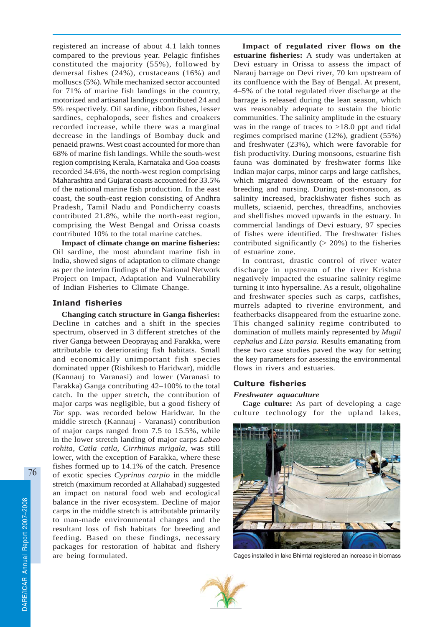registered an increase of about 4.1 lakh tonnes compared to the previous year. Pelagic finfishes constituted the majority (55%), followed by demersal fishes (24%), crustaceans (16%) and molluscs (5%). While mechanized sector accounted for 71% of marine fish landings in the country, motorized and artisanal landings contributed 24 and 5% respectively. Oil sardine, ribbon fishes, lesser sardines, cephalopods, seer fishes and croakers recorded increase, while there was a marginal decrease in the landings of Bombay duck and penaeid prawns. West coast accounted for more than 68% of marine fish landings. While the south-west region comprising Kerala, Karnataka and Goa coasts recorded 34.6%, the north-west region comprising Maharashtra and Gujarat coasts accounted for 33.5% of the national marine fish production. In the east coast, the south-east region consisting of Andhra Pradesh, Tamil Nadu and Pondicherry coasts contributed 21.8%, while the north-east region, comprising the West Bengal and Orissa coasts contributed 10% to the total marine catches.

**Impact of climate change on marine fisheries:** Oil sardine, the most abundant marine fish in India, showed signs of adaptation to climate change as per the interim findings of the National Network Project on Impact, Adaptation and Vulnerability of Indian Fisheries to Climate Change.

# Inland fisheries

**Changing catch structure in Ganga fisheries:** Decline in catches and a shift in the species spectrum, observed in 3 different stretches of the river Ganga between Deoprayag and Farakka, were attributable to deteriorating fish habitats. Small and economically unimportant fish species dominated upper (Rishikesh to Haridwar), middle (Kannauj to Varanasi) and lower (Varanasi to Farakka) Ganga contributing 42–100% to the total catch. In the upper stretch, the contribution of major carps was negligible, but a good fishery of *Tor* spp. was recorded below Haridwar. In the middle stretch (Kannauj - Varanasi) contribution of major carps ranged from 7.5 to 15.5%, while in the lower stretch landing of major carps *Labeo rohita*, *Catla catla, Cirrhinus mrigala*, was still lower, with the exception of Farakka, where these fishes formed up to 14.1% of the catch. Presence of exotic species *Cyprinus carpio* in the middle stretch (maximum recorded at Allahabad) suggested an impact on natural food web and ecological balance in the river ecosystem. Decline of major carps in the middle stretch is attributable primarily to man-made environmental changes and the resultant loss of fish habitats for breeding and feeding. Based on these findings, necessary packages for restoration of habitat and fishery are being formulated.

**Impact of regulated river flows on the estuarine fisheries:** A study was undertaken at Devi estuary in Orissa to assess the impact of Narauj barrage on Devi river, 70 km upstream of its confluence with the Bay of Bengal. At present, 4–5% of the total regulated river discharge at the barrage is released during the lean season, which was reasonably adequate to sustain the biotic communities. The salinity amplitude in the estuary was in the range of traces to >18.0 ppt and tidal regimes comprised marine (12%), gradient (55%) and freshwater (23%), which were favorable for fish productivity. During monsoons, estuarine fish fauna was dominated by freshwater forms like Indian major carps, minor carps and large catfishes, which migrated downstream of the estuary for breeding and nursing. During post-monsoon, as salinity increased, brackishwater fishes such as mullets, sciaenid, perches, threadfins, anchovies and shellfishes moved upwards in the estuary. In commercial landings of Devi estuary, 97 species of fishes were identified. The freshwater fishes contributed significantly  $(> 20\%)$  to the fisheries of estuarine zone.

In contrast, drastic control of river water discharge in upstream of the river Krishna negatively impacted the estuarine salinity regime turning it into hypersaline. As a result, oligohaline and freshwater species such as carps, catfishes, murrels adapted to riverine environment, and featherbacks disappeared from the estuarine zone. This changed salinity regime contributed to domination of mullets mainly represented by *Mugil cephalus* and *Liza parsia.* Results emanating from these two case studies paved the way for setting the key parameters for assessing the environmental flows in rivers and estuaries.

## Culture fisheries

## *Freshwater aquaculture*

**Cage culture:** As part of developing a cage culture technology for the upland lakes,



Cages installed in lake Bhimtal registered an increase in biomass

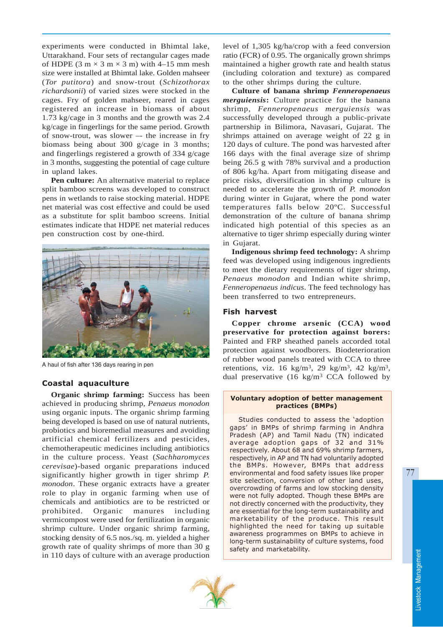experiments were conducted in Bhimtal lake, Uttarakhand. Four sets of rectangular cages made of HDPE (3 m  $\times$  3 m  $\times$  3 m) with 4–15 mm mesh size were installed at Bhimtal lake. Golden mahseer (*Tor putitora*) and snow-trout (*Schizothorax richardsonii*) of varied sizes were stocked in the cages. Fry of golden mahseer, reared in cages registered an increase in biomass of about 1.73 kg/cage in 3 months and the growth was 2.4 kg/cage in fingerlings for the same period. Growth of snow-trout, was slower –- the increase in fry biomass being about 300 g/cage in 3 months; and fingerlings registered a growth of 334 g/cage in 3 months, suggesting the potential of cage culture in upland lakes.

**Pen culture:** An alternative material to replace split bamboo screens was developed to construct pens in wetlands to raise stocking material. HDPE net material was cost effective and could be used as a substitute for split bamboo screens. Initial estimates indicate that HDPE net material reduces pen construction cost by one-third.



A haul of fish after 136 days rearing in pen

## Coastal aquaculture

**Organic shrimp farming:** Success has been achieved in producing shrimp, *Penaeus monodon* using organic inputs. The organic shrimp farming being developed is based on use of natural nutrients, probiotics and bioremedial measures and avoiding artificial chemical fertilizers and pesticides, chemotherapeutic medicines including antibiotics in the culture process. Yeast (*Sachharomyces cerevisae*)*-*based organic preparations induced significantly higher growth in tiger shrimp *P. monodon*. These organic extracts have a greater role to play in organic farming when use of chemicals and antibiotics are to be restricted or prohibited. Organic manures including vermicompost were used for fertilization in organic shrimp culture. Under organic shrimp farming, stocking density of 6.5 nos./sq. m. yielded a higher growth rate of quality shrimps of more than 30 g in 110 days of culture with an average production

level of 1,305 kg/ha/crop with a feed conversion ratio (FCR) of 0.95. The organically grown shrimps maintained a higher growth rate and health status (including coloration and texture) as compared to the other shrimps during the culture.

**Culture of banana shrimp** *Fenneropenaeus merguiensis***:** Culture practice for the banana shrimp, *Fenneropenaeus merguiensis* was successfully developed through a public-private partnership in Bilimora, Navasari, Gujarat. The shrimps attained on average weight of 22 g in 120 days of culture. The pond was harvested after 166 days with the final average size of shrimp being 26.5 g with 78% survival and a production of 806 kg/ha. Apart from mitigating disease and price risks, diversification in shrimp culture is needed to accelerate the growth of *P. monodon* during winter in Gujarat, where the pond water temperatures falls below 20ºC. Successful demonstration of the culture of banana shrimp indicated high potential of this species as an alternative to tiger shrimp especially during winter in Gujarat.

**Indigenous shrimp feed technology:** A shrimp feed was developed using indigenous ingredients to meet the dietary requirements of tiger shrimp, *Penaeus monodon* and Indian white shrimp, *Fenneropenaeus indicus*. The feed technology has been transferred to two entrepreneurs.

### Fish harvest

**Copper chrome arsenic (CCA) wood preservative for protection against borers:** Painted and FRP sheathed panels accorded total protection against woodborers. Biodeterioration of rubber wood panels treated with CCA to three retentions, viz. 16 kg/m3, 29 kg/m3, 42 kg/m3, dual preservative (16 kg/m3 CCA followed by

#### Voluntary adoption of better management practices (BMPs)

Studies conducted to assess the 'adoption gaps' in BMPs of shrimp farming in Andhra Pradesh (AP) and Tamil Nadu (TN) indicated average adoption gaps of 32 and 31% respectively. About 68 and 69% shrimp farmers, respectively, in AP and TN had voluntarily adopted the BMPs. However, BMPs that address environmental and food safety issues like proper site selection, conversion of other land uses, overcrowding of farms and low stocking density were not fully adopted. Though these BMPs are not directly concerned with the productivity, they are essential for the long-term sustainability and marketability of the produce. This result highlighted the need for taking up suitable awareness programmes on BMPs to achieve in long-term sustainability of culture systems, food safety and marketability.